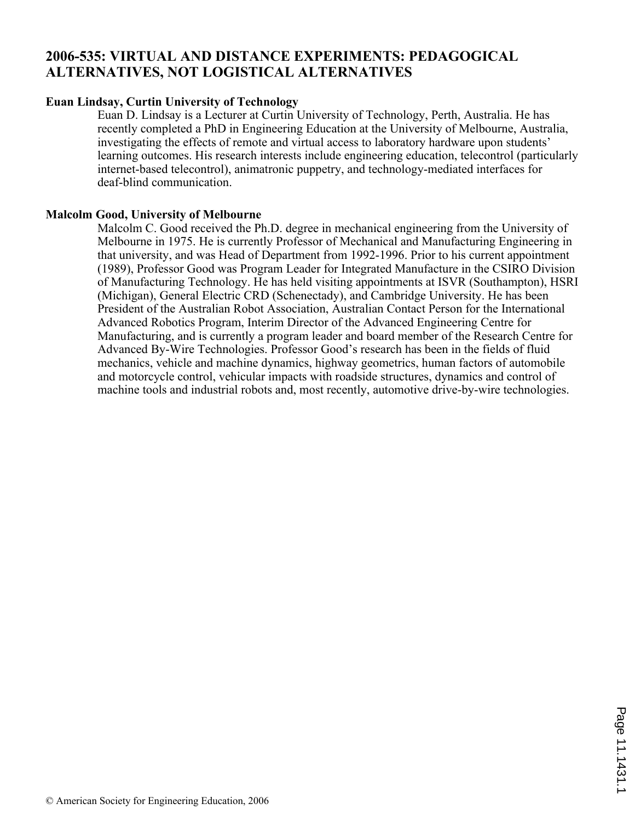# **2006-535: VIRTUAL AND DISTANCE EXPERIMENTS: PEDAGOGICAL ALTERNATIVES, NOT LOGISTICAL ALTERNATIVES**

# **Euan Lindsay, Curtin University of Technology**

Euan D. Lindsay is a Lecturer at Curtin University of Technology, Perth, Australia. He has recently completed a PhD in Engineering Education at the University of Melbourne, Australia, investigating the effects of remote and virtual access to laboratory hardware upon students' learning outcomes. His research interests include engineering education, telecontrol (particularly internet-based telecontrol), animatronic puppetry, and technology-mediated interfaces for deaf-blind communication.

# **Malcolm Good, University of Melbourne**

Malcolm C. Good received the Ph.D. degree in mechanical engineering from the University of Melbourne in 1975. He is currently Professor of Mechanical and Manufacturing Engineering in that university, and was Head of Department from 1992-1996. Prior to his current appointment (1989), Professor Good was Program Leader for Integrated Manufacture in the CSIRO Division of Manufacturing Technology. He has held visiting appointments at ISVR (Southampton), HSRI (Michigan), General Electric CRD (Schenectady), and Cambridge University. He has been President of the Australian Robot Association, Australian Contact Person for the International Advanced Robotics Program, Interim Director of the Advanced Engineering Centre for Manufacturing, and is currently a program leader and board member of the Research Centre for Advanced By-Wire Technologies. Professor Good's research has been in the fields of fluid mechanics, vehicle and machine dynamics, highway geometrics, human factors of automobile and motorcycle control, vehicular impacts with roadside structures, dynamics and control of machine tools and industrial robots and, most recently, automotive drive-by-wire technologies.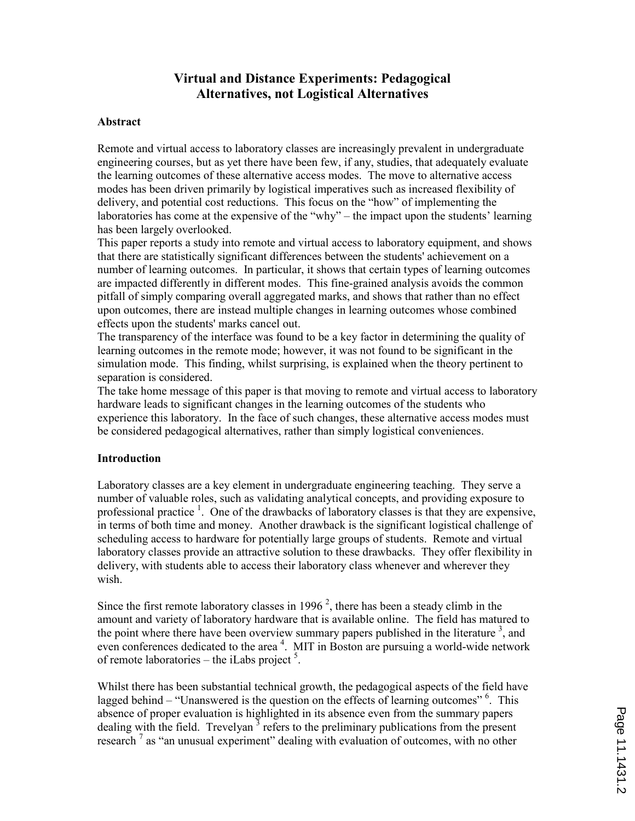# Virtual and Distance Experiments: Pedagogical Alternatives, not Logistical Alternatives

#### Abstract

Remote and virtual access to laboratory classes are increasingly prevalent in undergraduate engineering courses, but as yet there have been few, if any, studies, that adequately evaluate the learning outcomes of these alternative access modes. The move to alternative access modes has been driven primarily by logistical imperatives such as increased flexibility of delivery, and potential cost reductions. This focus on the "how" of implementing the laboratories has come at the expensive of the "why" – the impact upon the students' learning has been largely overlooked.

This paper reports a study into remote and virtual access to laboratory equipment, and shows that there are statistically significant differences between the students' achievement on a number of learning outcomes. In particular, it shows that certain types of learning outcomes are impacted differently in different modes. This fine-grained analysis avoids the common pitfall of simply comparing overall aggregated marks, and shows that rather than no effect upon outcomes, there are instead multiple changes in learning outcomes whose combined effects upon the students' marks cancel out.

The transparency of the interface was found to be a key factor in determining the quality of learning outcomes in the remote mode; however, it was not found to be significant in the simulation mode. This finding, whilst surprising, is explained when the theory pertinent to separation is considered.

The take home message of this paper is that moving to remote and virtual access to laboratory hardware leads to significant changes in the learning outcomes of the students who experience this laboratory. In the face of such changes, these alternative access modes must be considered pedagogical alternatives, rather than simply logistical conveniences.

#### Introduction

Laboratory classes are a key element in undergraduate engineering teaching. They serve a number of valuable roles, such as validating analytical concepts, and providing exposure to professional practice  $<sup>1</sup>$ . One of the drawbacks of laboratory classes is that they are expensive,</sup> in terms of both time and money. Another drawback is the significant logistical challenge of scheduling access to hardware for potentially large groups of students. Remote and virtual laboratory classes provide an attractive solution to these drawbacks. They offer flexibility in delivery, with students able to access their laboratory class whenever and wherever they wish.

Since the first remote laboratory classes in 1996<sup>2</sup>, there has been a steady climb in the amount and variety of laboratory hardware that is available online. The field has matured to the point where there have been overview summary papers published in the literature  $3$ , and even conferences dedicated to the area<sup>4</sup>. MIT in Boston are pursuing a world-wide network of remote laboratories – the iLabs project  $5$ .

Whilst there has been substantial technical growth, the pedagogical aspects of the field have lagged behind – "Unanswered is the question on the effects of learning outcomes" <sup>6</sup>. This absence of proper evaluation is highlighted in its absence even from the summary papers dealing with the field. Trevelyan  $3$  refers to the preliminary publications from the present research<sup>7</sup> as "an unusual experiment" dealing with evaluation of outcomes, with no other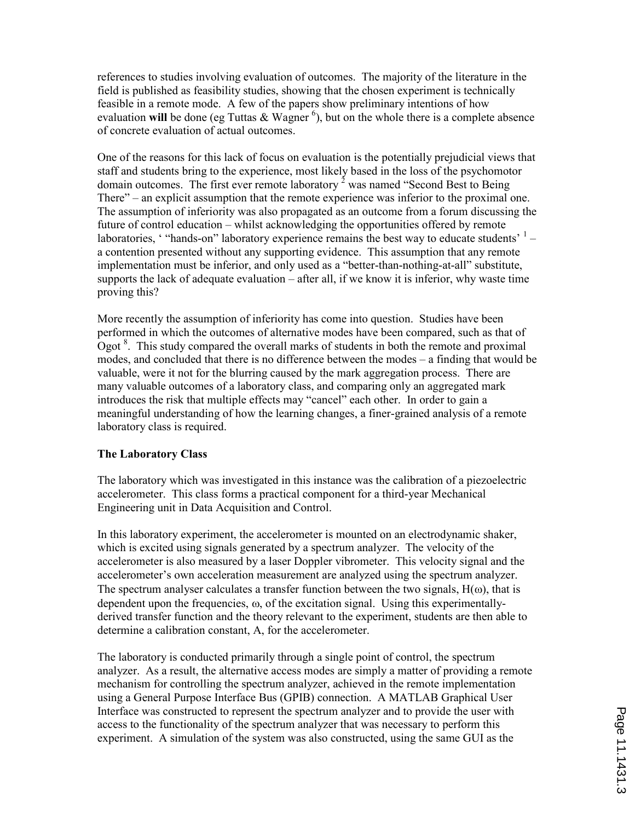references to studies involving evaluation of outcomes. The majority of the literature in the field is published as feasibility studies, showing that the chosen experiment is technically feasible in a remote mode. A few of the papers show preliminary intentions of how evaluation will be done (eg Tuttas & Wagner<sup>6</sup>), but on the whole there is a complete absence of concrete evaluation of actual outcomes.

One of the reasons for this lack of focus on evaluation is the potentially prejudicial views that staff and students bring to the experience, most likely based in the loss of the psychomotor domain outcomes. The first ever remote laboratory  $2$  was named "Second Best to Being There" – an explicit assumption that the remote experience was inferior to the proximal one. The assumption of inferiority was also propagated as an outcome from a forum discussing the future of control education – whilst acknowledging the opportunities offered by remote laboratories, '"hands-on" laboratory experience remains the best way to educate students'  $1$ a contention presented without any supporting evidence. This assumption that any remote implementation must be inferior, and only used as a "better-than-nothing-at-all" substitute, supports the lack of adequate evaluation – after all, if we know it is inferior, why waste time proving this?

More recently the assumption of inferiority has come into question. Studies have been performed in which the outcomes of alternative modes have been compared, such as that of Ogot  $8$ . This study compared the overall marks of students in both the remote and proximal modes, and concluded that there is no difference between the modes – a finding that would be valuable, were it not for the blurring caused by the mark aggregation process. There are many valuable outcomes of a laboratory class, and comparing only an aggregated mark introduces the risk that multiple effects may "cancel" each other. In order to gain a meaningful understanding of how the learning changes, a finer-grained analysis of a remote laboratory class is required.

# The Laboratory Class

The laboratory which was investigated in this instance was the calibration of a piezoelectric accelerometer. This class forms a practical component for a third-year Mechanical Engineering unit in Data Acquisition and Control.

In this laboratory experiment, the accelerometer is mounted on an electrodynamic shaker, which is excited using signals generated by a spectrum analyzer. The velocity of the accelerometer is also measured by a laser Doppler vibrometer. This velocity signal and the accelerometer's own acceleration measurement are analyzed using the spectrum analyzer. The spectrum analyser calculates a transfer function between the two signals,  $H(\omega)$ , that is dependent upon the frequencies,  $\omega$ , of the excitation signal. Using this experimentallyderived transfer function and the theory relevant to the experiment, students are then able to determine a calibration constant, A, for the accelerometer.

The laboratory is conducted primarily through a single point of control, the spectrum analyzer. As a result, the alternative access modes are simply a matter of providing a remote mechanism for controlling the spectrum analyzer, achieved in the remote implementation using a General Purpose Interface Bus (GPIB) connection. A MATLAB Graphical User Interface was constructed to represent the spectrum analyzer and to provide the user with access to the functionality of the spectrum analyzer that was necessary to perform this experiment. A simulation of the system was also constructed, using the same GUI as the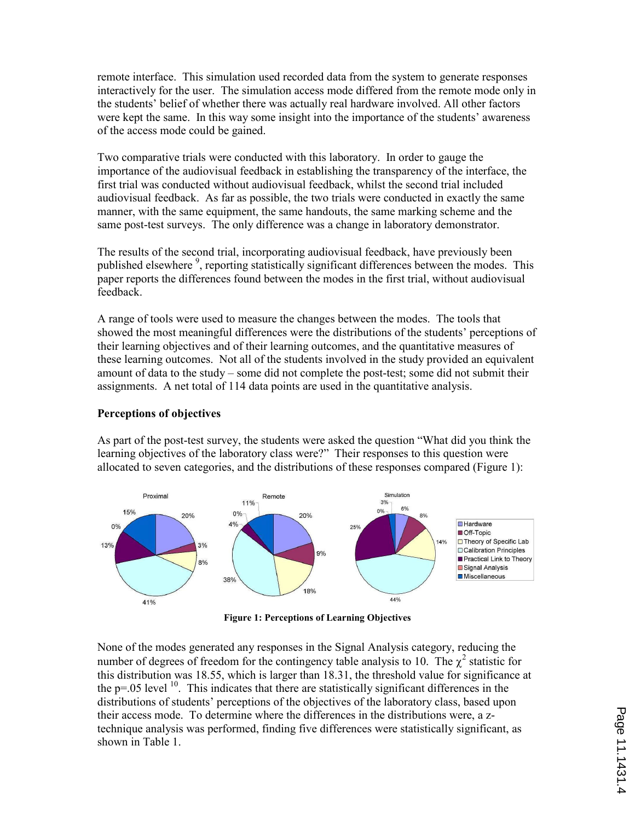remote interface. This simulation used recorded data from the system to generate responses interactively for the user. The simulation access mode differed from the remote mode only in the students' belief of whether there was actually real hardware involved. All other factors were kept the same. In this way some insight into the importance of the students' awareness of the access mode could be gained.

Two comparative trials were conducted with this laboratory. In order to gauge the importance of the audiovisual feedback in establishing the transparency of the interface, the first trial was conducted without audiovisual feedback, whilst the second trial included audiovisual feedback. As far as possible, the two trials were conducted in exactly the same manner, with the same equipment, the same handouts, the same marking scheme and the same post-test surveys. The only difference was a change in laboratory demonstrator.

The results of the second trial, incorporating audiovisual feedback, have previously been published elsewhere<sup>9</sup>, reporting statistically significant differences between the modes. This paper reports the differences found between the modes in the first trial, without audiovisual feedback.

A range of tools were used to measure the changes between the modes. The tools that showed the most meaningful differences were the distributions of the students' perceptions of their learning objectives and of their learning outcomes, and the quantitative measures of these learning outcomes. Not all of the students involved in the study provided an equivalent amount of data to the study – some did not complete the post-test; some did not submit their assignments. A net total of 114 data points are used in the quantitative analysis.

#### Perceptions of objectives

As part of the post-test survey, the students were asked the question "What did you think the learning objectives of the laboratory class were?" Their responses to this question were allocated to seven categories, and the distributions of these responses compared (Figure 1):



Figure 1: Perceptions of Learning Objectives

None of the modes generated any responses in the Signal Analysis category, reducing the number of degrees of freedom for the contingency table analysis to 10. The  $\chi^2$  statistic for this distribution was 18.55, which is larger than 18.31, the threshold value for significance at the  $p=0.05$  level  $10$ . This indicates that there are statistically significant differences in the distributions of students' perceptions of the objectives of the laboratory class, based upon their access mode. To determine where the differences in the distributions were, a ztechnique analysis was performed, finding five differences were statistically significant, as shown in Table 1.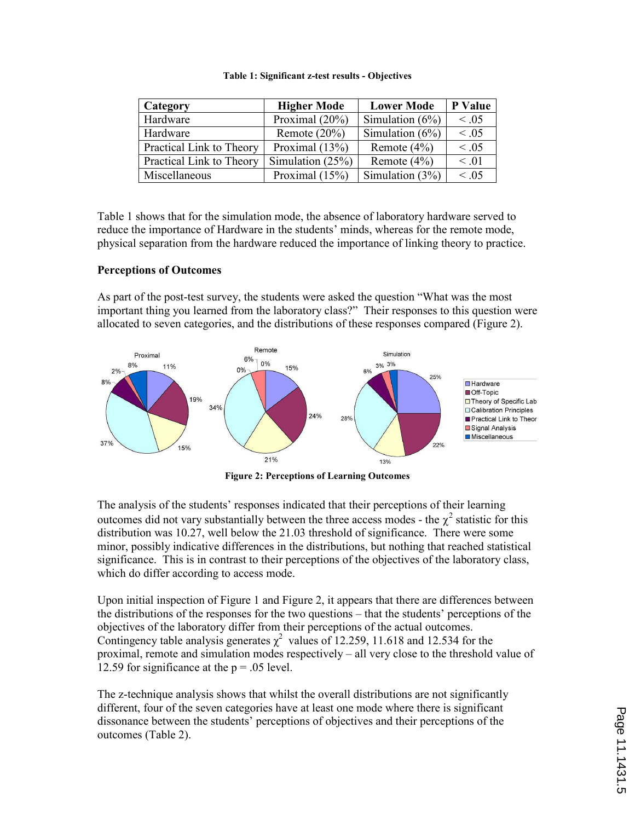| Category                 | <b>Higher Mode</b><br><b>Lower Mode</b> |                    | P Value    |
|--------------------------|-----------------------------------------|--------------------|------------|
| Hardware                 | Proximal $(20\%)$                       | Simulation $(6\%)$ | $\leq .05$ |
| Hardware                 | Remote $(20\%)$                         | Simulation $(6\%)$ | $\leq .05$ |
| Practical Link to Theory | Proximal $(13%)$                        | Remote $(4\%)$     | $\leq .05$ |
| Practical Link to Theory | Simulation $(25%)$                      | Remote $(4\%)$     | $\leq .01$ |
| Miscellaneous            | Proximal $(15%)$                        | Simulation $(3%)$  | < 0.05     |

#### Table 1: Significant z-test results - Objectives

Table 1 shows that for the simulation mode, the absence of laboratory hardware served to reduce the importance of Hardware in the students' minds, whereas for the remote mode, physical separation from the hardware reduced the importance of linking theory to practice.

### Perceptions of Outcomes

As part of the post-test survey, the students were asked the question "What was the most important thing you learned from the laboratory class?" Their responses to this question were allocated to seven categories, and the distributions of these responses compared (Figure 2).



Figure 2: Perceptions of Learning Outcomes

The analysis of the students' responses indicated that their perceptions of their learning outcomes did not vary substantially between the three access modes - the  $\chi^2$  statistic for this distribution was 10.27, well below the 21.03 threshold of significance. There were some minor, possibly indicative differences in the distributions, but nothing that reached statistical significance. This is in contrast to their perceptions of the objectives of the laboratory class, which do differ according to access mode.

Upon initial inspection of Figure 1 and Figure 2, it appears that there are differences between the distributions of the responses for the two questions – that the students' perceptions of the objectives of the laboratory differ from their perceptions of the actual outcomes. Contingency table analysis generates  $\chi^2$  values of 12.259, 11.618 and 12.534 for the proximal, remote and simulation modes respectively – all very close to the threshold value of 12.59 for significance at the  $p = .05$  level.

The z-technique analysis shows that whilst the overall distributions are not significantly different, four of the seven categories have at least one mode where there is significant dissonance between the students' perceptions of objectives and their perceptions of the outcomes (Table 2).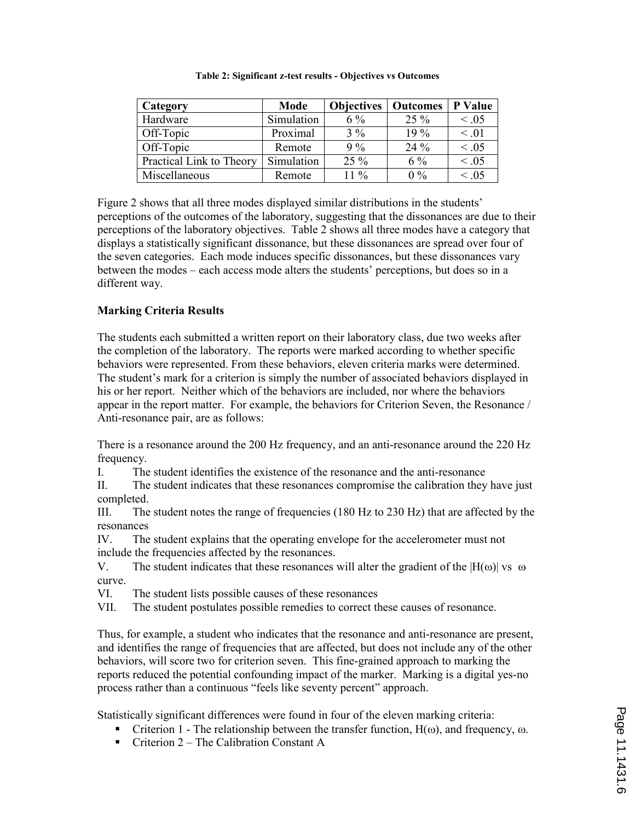| Category                 | Mode       | <b>Objectives</b> | <b>Outcomes</b> | P Value    |
|--------------------------|------------|-------------------|-----------------|------------|
| Hardware                 | Simulation | $6\%$             | $25\%$          | $\leq .05$ |
| Off-Topic                | Proximal   | $3\%$             | 19 %            | $\leq .01$ |
| Off-Topic                | Remote     | 9%                | 24 %            | $\leq .05$ |
| Practical Link to Theory | Simulation | $25\%$            | $6\%$           | < 0.05     |
| Miscellaneous            | Remote     | $11\%$            | $0\%$           | $\leq .05$ |

Table 2: Significant z-test results - Objectives vs Outcomes

Figure 2 shows that all three modes displayed similar distributions in the students' perceptions of the outcomes of the laboratory, suggesting that the dissonances are due to their perceptions of the laboratory objectives. Table 2 shows all three modes have a category that displays a statistically significant dissonance, but these dissonances are spread over four of the seven categories. Each mode induces specific dissonances, but these dissonances vary between the modes – each access mode alters the students' perceptions, but does so in a different way.

# Marking Criteria Results

The students each submitted a written report on their laboratory class, due two weeks after the completion of the laboratory. The reports were marked according to whether specific behaviors were represented. From these behaviors, eleven criteria marks were determined. The student's mark for a criterion is simply the number of associated behaviors displayed in his or her report. Neither which of the behaviors are included, nor where the behaviors appear in the report matter. For example, the behaviors for Criterion Seven, the Resonance / Anti-resonance pair, are as follows:

There is a resonance around the 200 Hz frequency, and an anti-resonance around the 220 Hz frequency.

I. The student identifies the existence of the resonance and the anti-resonance

II. The student indicates that these resonances compromise the calibration they have just completed.

III. The student notes the range of frequencies (180 Hz to 230 Hz) that are affected by the resonances

IV. The student explains that the operating envelope for the accelerometer must not include the frequencies affected by the resonances.

V. The student indicates that these resonances will alter the gradient of the  $|H(\omega)|$  vs  $\omega$ curve.

VI. The student lists possible causes of these resonances

VII. The student postulates possible remedies to correct these causes of resonance.

Thus, for example, a student who indicates that the resonance and anti-resonance are present, and identifies the range of frequencies that are affected, but does not include any of the other behaviors, will score two for criterion seven. This fine-grained approach to marking the reports reduced the potential confounding impact of the marker. Marking is a digital yes-no process rather than a continuous "feels like seventy percent" approach.

Statistically significant differences were found in four of the eleven marking criteria:

- Criterion 1 The relationship between the transfer function,  $H(\omega)$ , and frequency,  $\omega$ .
- Criterion  $2$  The Calibration Constant A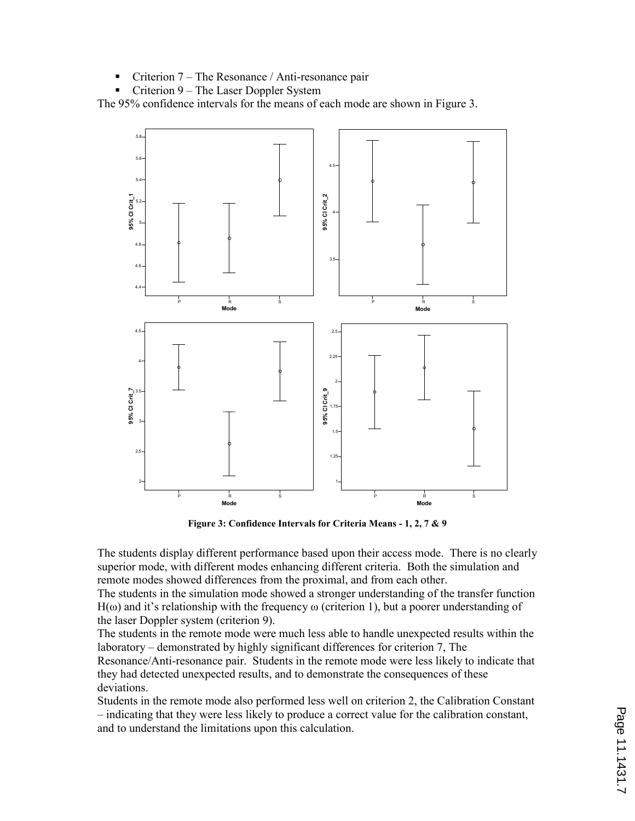- Criterion 7 The Resonance / Anti-resonance pair
- Criterion 9 The Laser Doppler System

The 95% confidence intervals for the means of each mode are shown in Figure 3.



Figure 3: Confidence Intervals for Criteria Means - 1, 2, 7 & 9

The students display different performance based upon their access mode. There is no clearly superior mode, with different modes enhancing different criteria. Both the simulation and remote modes showed differences from the proximal, and from each other.

The students in the simulation mode showed a stronger understanding of the transfer function  $H(\omega)$  and it's relationship with the frequency  $\omega$  (criterion 1), but a poorer understanding of the laser Doppler system (criterion 9).

The students in the remote mode were much less able to handle unexpected results within the laboratory – demonstrated by highly significant differences for criterion 7, The Resonance/Anti-resonance pair. Students in the remote mode were less likely to indicate that they had detected unexpected results, and to demonstrate the consequences of these deviations.

Students in the remote mode also performed less well on criterion 2, the Calibration Constant – indicating that they were less likely to produce a correct value for the calibration constant, and to understand the limitations upon this calculation.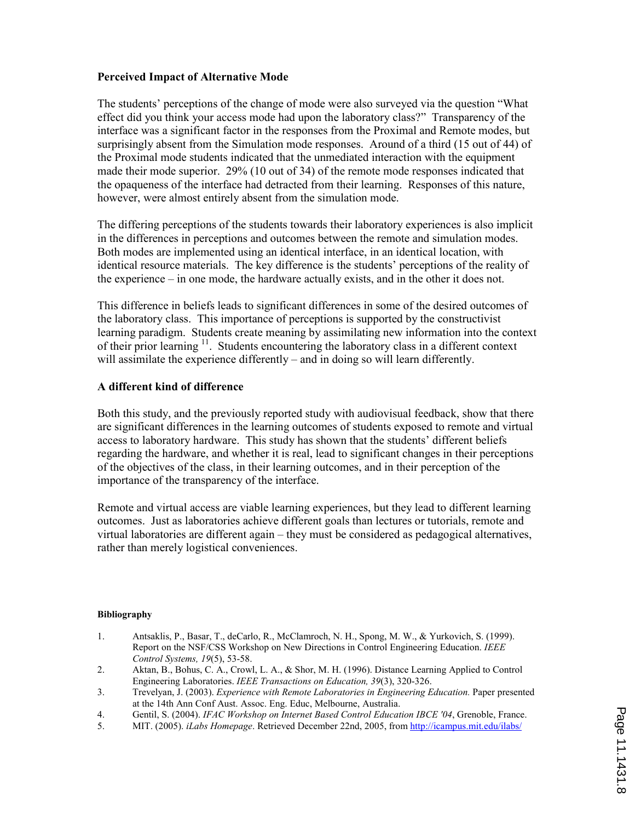# Perceived Impact of Alternative Mode

The students' perceptions of the change of mode were also surveyed via the question "What effect did you think your access mode had upon the laboratory class?" Transparency of the interface was a significant factor in the responses from the Proximal and Remote modes, but surprisingly absent from the Simulation mode responses. Around of a third (15 out of 44) of the Proximal mode students indicated that the unmediated interaction with the equipment made their mode superior. 29% (10 out of 34) of the remote mode responses indicated that the opaqueness of the interface had detracted from their learning. Responses of this nature, however, were almost entirely absent from the simulation mode.

The differing perceptions of the students towards their laboratory experiences is also implicit in the differences in perceptions and outcomes between the remote and simulation modes. Both modes are implemented using an identical interface, in an identical location, with identical resource materials. The key difference is the students' perceptions of the reality of the experience – in one mode, the hardware actually exists, and in the other it does not.

This difference in beliefs leads to significant differences in some of the desired outcomes of the laboratory class. This importance of perceptions is supported by the constructivist learning paradigm. Students create meaning by assimilating new information into the context of their prior learning  $11$ . Students encountering the laboratory class in a different context will assimilate the experience differently – and in doing so will learn differently.

### A different kind of difference

Both this study, and the previously reported study with audiovisual feedback, show that there are significant differences in the learning outcomes of students exposed to remote and virtual access to laboratory hardware. This study has shown that the students' different beliefs regarding the hardware, and whether it is real, lead to significant changes in their perceptions of the objectives of the class, in their learning outcomes, and in their perception of the importance of the transparency of the interface.

Remote and virtual access are viable learning experiences, but they lead to different learning outcomes. Just as laboratories achieve different goals than lectures or tutorials, remote and virtual laboratories are different again – they must be considered as pedagogical alternatives, rather than merely logistical conveniences.

#### Bibliography

- 1. Antsaklis, P., Basar, T., deCarlo, R., McClamroch, N. H., Spong, M. W., & Yurkovich, S. (1999). Report on the NSF/CSS Workshop on New Directions in Control Engineering Education. IEEE Control Systems, 19(5), 53-58.
- 2. Aktan, B., Bohus, C. A., Crowl, L. A., & Shor, M. H. (1996). Distance Learning Applied to Control Engineering Laboratories. IEEE Transactions on Education, 39(3), 320-326.
- 3. Trevelyan, J. (2003). Experience with Remote Laboratories in Engineering Education. Paper presented at the 14th Ann Conf Aust. Assoc. Eng. Educ, Melbourne, Australia.
- 4. Gentil, S. (2004). IFAC Workshop on Internet Based Control Education IBCE '04, Grenoble, France.
- 5. MIT. (2005). iLabs Homepage. Retrieved December 22nd, 2005, from http://icampus.mit.edu/ilabs/